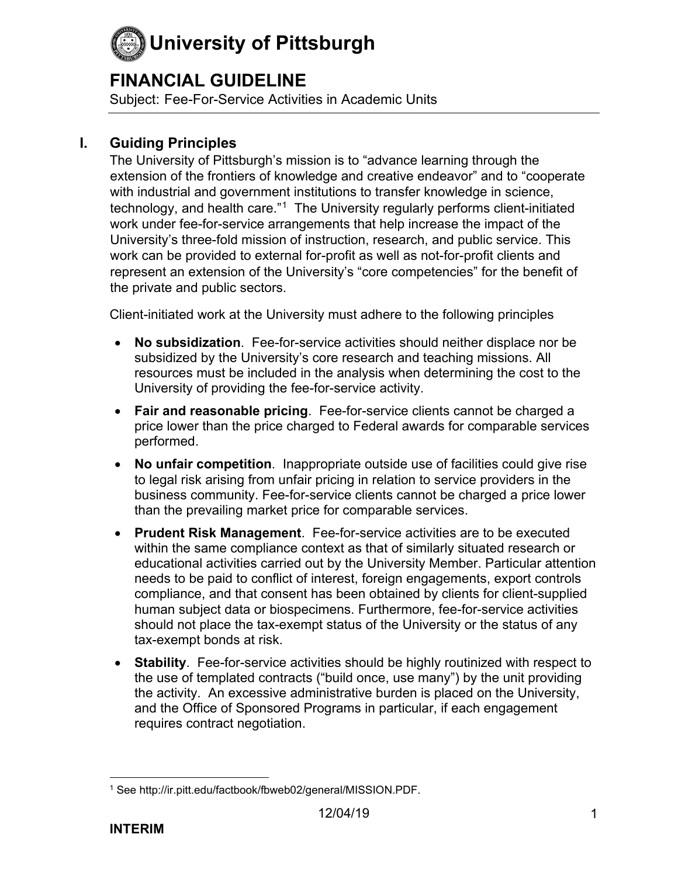## **FINANCIAL GUIDELINE**

Subject: Fee-For-Service Activities in Academic Units

#### **I. Guiding Principles**

The University of Pittsburgh's mission is to "advance learning through the extension of the frontiers of knowledge and creative endeavor" and to "cooperate with industrial and government institutions to transfer knowledge in science, technology, and health care."[1](#page-0-0) The University regularly performs client-initiated work under fee-for-service arrangements that help increase the impact of the University's three-fold mission of instruction, research, and public service. This work can be provided to external for-profit as well as not-for-profit clients and represent an extension of the University's "core competencies" for the benefit of the private and public sectors.

Client-initiated work at the University must adhere to the following principles

- **No subsidization**. Fee-for-service activities should neither displace nor be subsidized by the University's core research and teaching missions. All resources must be included in the analysis when determining the cost to the University of providing the fee-for-service activity.
- **Fair and reasonable pricing**. Fee-for-service clients cannot be charged a price lower than the price charged to Federal awards for comparable services performed.
- **No unfair competition**. Inappropriate outside use of facilities could give rise to legal risk arising from unfair pricing in relation to service providers in the business community. Fee-for-service clients cannot be charged a price lower than the prevailing market price for comparable services.
- **Prudent Risk Management**. Fee-for-service activities are to be executed within the same compliance context as that of similarly situated research or educational activities carried out by the University Member. Particular attention needs to be paid to conflict of interest, foreign engagements, export controls compliance, and that consent has been obtained by clients for client-supplied human subject data or biospecimens. Furthermore, fee-for-service activities should not place the tax-exempt status of the University or the status of any tax-exempt bonds at risk.
- **Stability**. Fee-for-service activities should be highly routinized with respect to the use of templated contracts ("build once, use many") by the unit providing the activity. An excessive administrative burden is placed on the University, and the Office of Sponsored Programs in particular, if each engagement requires contract negotiation.

<span id="page-0-0"></span><sup>1</sup> See http://ir.pitt.edu/factbook/fbweb02/general/MISSION.PDF.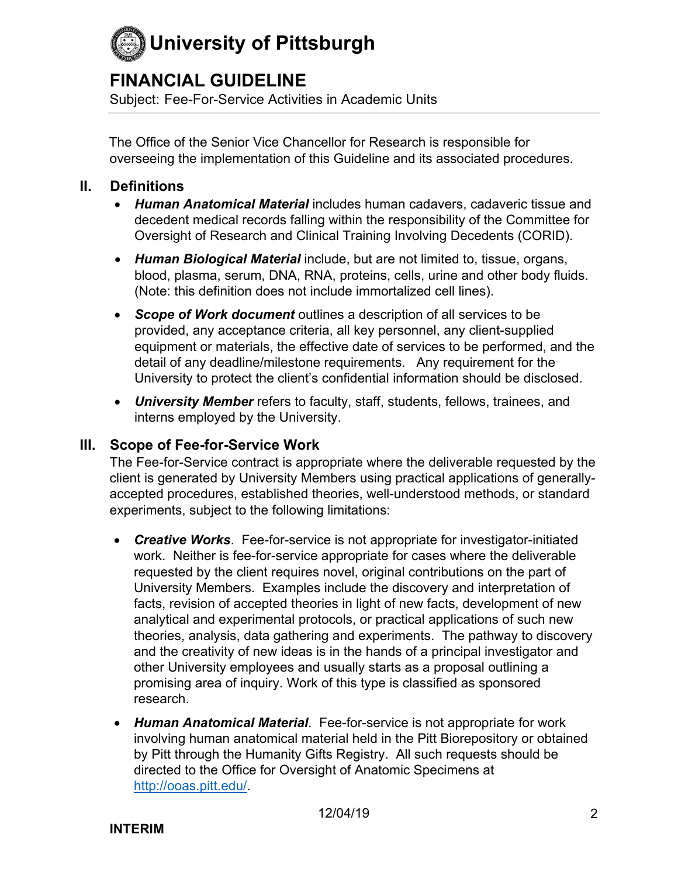## **FINANCIAL GUIDELINE**

Subject: Fee-For-Service Activities in Academic Units

The Office of the Senior Vice Chancellor for Research is responsible for overseeing the implementation of this Guideline and its associated procedures.

#### **II. Definitions**

- *Human Anatomical Material* includes human cadavers, cadaveric tissue and decedent medical records falling within the responsibility of the Committee for Oversight of Research and Clinical Training Involving Decedents (CORID).
- *Human Biological Material* include, but are not limited to, tissue, organs, blood, plasma, serum, DNA, RNA, proteins, cells, urine and other body fluids. (Note: this definition does not include immortalized cell lines).
- *Scope of Work document* outlines a description of all services to be provided, any acceptance criteria, all key personnel, any client-supplied equipment or materials, the effective date of services to be performed, and the detail of any deadline/milestone requirements. Any requirement for the University to protect the client's confidential information should be disclosed.
- *University Member* refers to faculty, staff, students, fellows, trainees, and interns employed by the University.

#### **III. Scope of Fee-for-Service Work**

The Fee-for-Service contract is appropriate where the deliverable requested by the client is generated by University Members using practical applications of generallyaccepted procedures, established theories, well-understood methods, or standard experiments, subject to the following limitations:

- *Creative Works*. Fee-for-service is not appropriate for investigator-initiated work. Neither is fee-for-service appropriate for cases where the deliverable requested by the client requires novel, original contributions on the part of University Members. Examples include the discovery and interpretation of facts, revision of accepted theories in light of new facts, development of new analytical and experimental protocols, or practical applications of such new theories, analysis, data gathering and experiments. The pathway to discovery and the creativity of new ideas is in the hands of a principal investigator and other University employees and usually starts as a proposal outlining a promising area of inquiry. Work of this type is classified as sponsored research.
- *Human Anatomical Material*. Fee-for-service is not appropriate for work involving human anatomical material held in the Pitt Biorepository or obtained by Pitt through the Humanity Gifts Registry. All such requests should be directed to the Office for Oversight of Anatomic Specimens at [http://ooas.pitt.edu/.](http://ooas.pitt.edu/)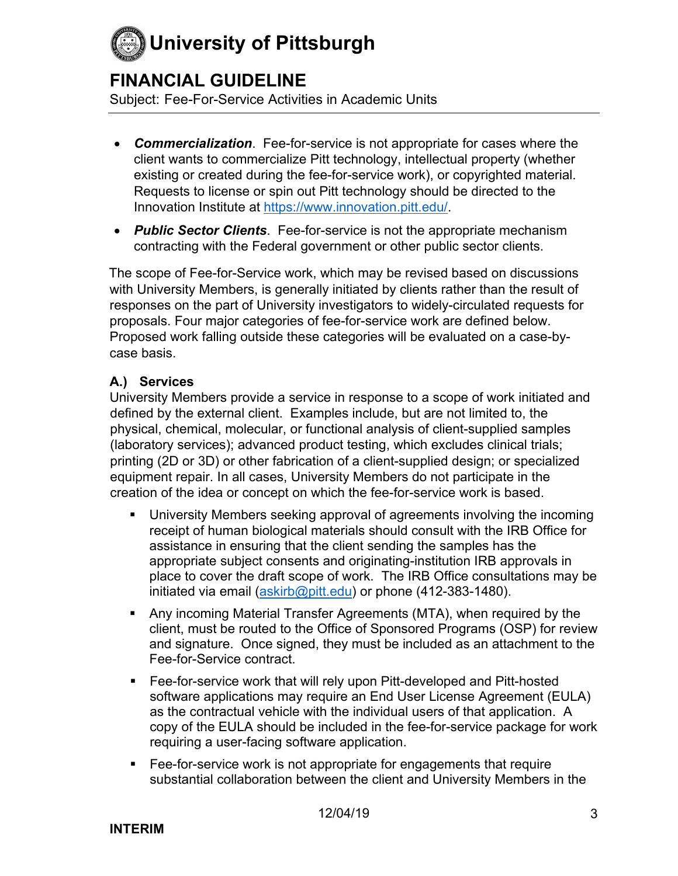## **FINANCIAL GUIDELINE**

Subject: Fee-For-Service Activities in Academic Units

- *Commercialization*. Fee-for-service is not appropriate for cases where the client wants to commercialize Pitt technology, intellectual property (whether existing or created during the fee-for-service work), or copyrighted material. Requests to license or spin out Pitt technology should be directed to the Innovation Institute at [https://www.innovation.pitt.edu/.](https://www.innovation.pitt.edu/)
- *Public Sector Clients*. Fee-for-service is not the appropriate mechanism contracting with the Federal government or other public sector clients.

The scope of Fee-for-Service work, which may be revised based on discussions with University Members, is generally initiated by clients rather than the result of responses on the part of University investigators to widely-circulated requests for proposals. Four major categories of fee-for-service work are defined below. Proposed work falling outside these categories will be evaluated on a case-bycase basis.

#### **A.) Services**

University Members provide a service in response to a scope of work initiated and defined by the external client. Examples include, but are not limited to, the physical, chemical, molecular, or functional analysis of client-supplied samples (laboratory services); advanced product testing, which excludes clinical trials; printing (2D or 3D) or other fabrication of a client-supplied design; or specialized equipment repair. In all cases, University Members do not participate in the creation of the idea or concept on which the fee-for-service work is based.

- University Members seeking approval of agreements involving the incoming receipt of human biological materials should consult with the IRB Office for assistance in ensuring that the client sending the samples has the appropriate subject consents and originating-institution IRB approvals in place to cover the draft scope of work. The IRB Office consultations may be initiated via email [\(askirb@pitt.edu\)](mailto:askirb@pitt.edu) or phone (412-383-1480).
- Any incoming Material Transfer Agreements (MTA), when required by the client, must be routed to the Office of Sponsored Programs (OSP) for review and signature. Once signed, they must be included as an attachment to the Fee-for-Service contract.
- Fee-for-service work that will rely upon Pitt-developed and Pitt-hosted software applications may require an End User License Agreement (EULA) as the contractual vehicle with the individual users of that application. A copy of the EULA should be included in the fee-for-service package for work requiring a user-facing software application.
- Fee-for-service work is not appropriate for engagements that require substantial collaboration between the client and University Members in the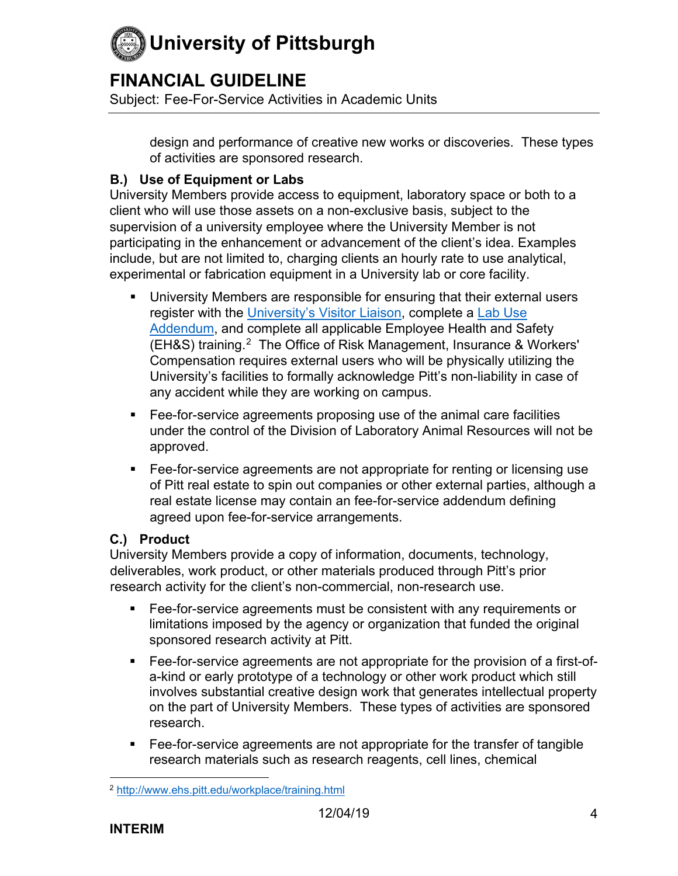

## **FINANCIAL GUIDELINE**

Subject: Fee-For-Service Activities in Academic Units

design and performance of creative new works or discoveries. These types of activities are sponsored research.

#### **B.) Use of Equipment or Labs**

University Members provide access to equipment, laboratory space or both to a client who will use those assets on a non-exclusive basis, subject to the supervision of a university employee where the University Member is not participating in the enhancement or advancement of the client's idea. Examples include, but are not limited to, charging clients an hourly rate to use analytical, experimental or fabrication equipment in a University lab or core facility.

- University Members are responsible for ensuring that their external users register with the [University's Visitor Liaison,](https://visitor.pitt.edu/) complete a [Lab Use](https://visitor.pitt.edu/wp-content/uploads/2018/03/Laboratory-Addendum-3-2018.docx)  [Addendum,](https://visitor.pitt.edu/wp-content/uploads/2018/03/Laboratory-Addendum-3-2018.docx) and complete all applicable Employee Health and Safety (EH&S) training. [2](#page-3-0) The Office of Risk Management, Insurance & Workers' Compensation requires external users who will be physically utilizing the University's facilities to formally acknowledge Pitt's non-liability in case of any accident while they are working on campus.
- Fee-for-service agreements proposing use of the animal care facilities under the control of the Division of Laboratory Animal Resources will not be approved.
- Fee-for-service agreements are not appropriate for renting or licensing use of Pitt real estate to spin out companies or other external parties, although a real estate license may contain an fee-for-service addendum defining agreed upon fee-for-service arrangements.

#### **C.) Product**

University Members provide a copy of information, documents, technology, deliverables, work product, or other materials produced through Pitt's prior research activity for the client's non-commercial, non-research use.

- Fee-for-service agreements must be consistent with any requirements or limitations imposed by the agency or organization that funded the original sponsored research activity at Pitt.
- Fee-for-service agreements are not appropriate for the provision of a first-ofa-kind or early prototype of a technology or other work product which still involves substantial creative design work that generates intellectual property on the part of University Members. These types of activities are sponsored research.
- Fee-for-service agreements are not appropriate for the transfer of tangible research materials such as research reagents, cell lines, chemical

<span id="page-3-0"></span><sup>2</sup> <http://www.ehs.pitt.edu/workplace/training.html>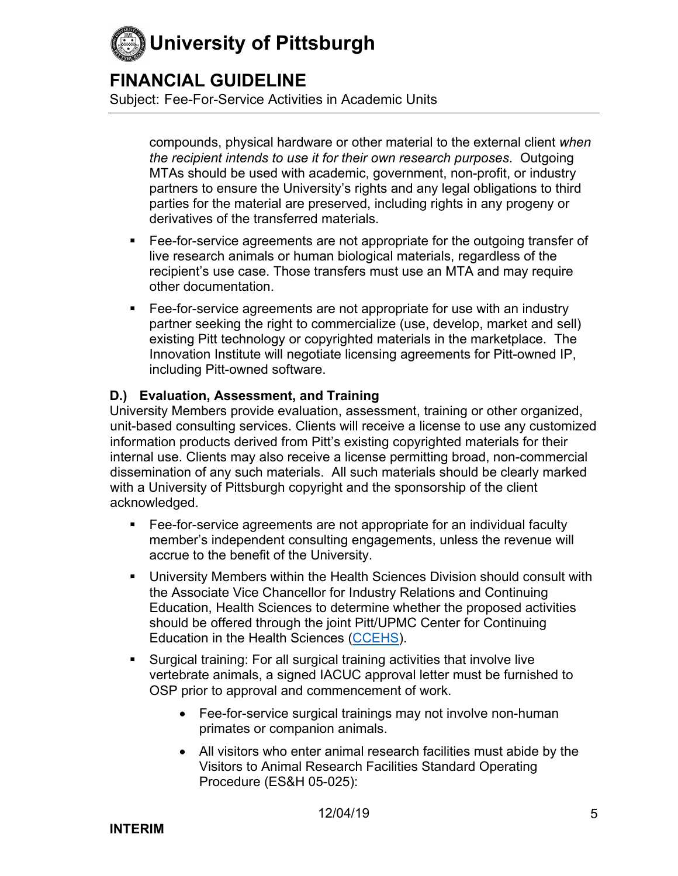

### **FINANCIAL GUIDELINE**

Subject: Fee-For-Service Activities in Academic Units

compounds, physical hardware or other material to the external client *when the recipient intends to use it for their own research purposes*. Outgoing MTAs should be used with academic, government, non-profit, or industry partners to ensure the University's rights and any legal obligations to third parties for the material are preserved, including rights in any progeny or derivatives of the transferred materials.

- Fee-for-service agreements are not appropriate for the outgoing transfer of live research animals or human biological materials, regardless of the recipient's use case. Those transfers must use an MTA and may require other documentation.
- **Fee-for-service agreements are not appropriate for use with an industry** partner seeking the right to commercialize (use, develop, market and sell) existing Pitt technology or copyrighted materials in the marketplace. The Innovation Institute will negotiate licensing agreements for Pitt-owned IP, including Pitt-owned software.

#### **D.) Evaluation, Assessment, and Training**

University Members provide evaluation, assessment, training or other organized, unit-based consulting services. Clients will receive a license to use any customized information products derived from Pitt's existing copyrighted materials for their internal use. Clients may also receive a license permitting broad, non-commercial dissemination of any such materials. All such materials should be clearly marked with a University of Pittsburgh copyright and the sponsorship of the client acknowledged.

- Fee-for-service agreements are not appropriate for an individual faculty member's independent consulting engagements, unless the revenue will accrue to the benefit of the University.
- University Members within the Health Sciences Division should consult with the Associate Vice Chancellor for Industry Relations and Continuing Education, Health Sciences to determine whether the proposed activities should be offered through the joint Pitt/UPMC Center for Continuing Education in the Health Sciences [\(CCEHS\)](https://cce.upmc.com/).
- Surgical training: For all surgical training activities that involve live vertebrate animals, a signed IACUC approval letter must be furnished to OSP prior to approval and commencement of work.
	- Fee-for-service surgical trainings may not involve non-human primates or companion animals.
	- All visitors who enter animal research facilities must abide by the Visitors to Animal Research Facilities Standard Operating Procedure (ES&H 05-025):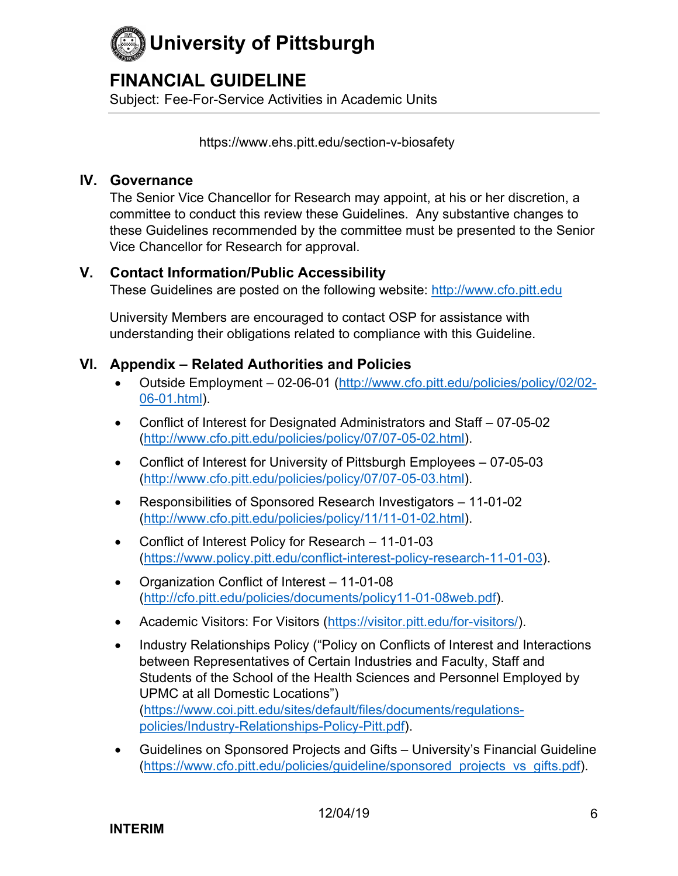

## **FINANCIAL GUIDELINE**

Subject: Fee-For-Service Activities in Academic Units

<https://www.ehs.pitt.edu/section-v-biosafety>

#### **IV. Governance**

The Senior Vice Chancellor for Research may appoint, at his or her discretion, a committee to conduct this review these Guidelines. Any substantive changes to these Guidelines recommended by the committee must be presented to the Senior Vice Chancellor for Research for approval.

#### **V. Contact Information/Public Accessibility**

These Guidelines are posted on the following website: [http://www.cfo.pitt.edu](http://www.cfo.pitt.edu/)

University Members are encouraged to contact OSP for assistance with understanding their obligations related to compliance with this Guideline.

#### **VI. Appendix – Related Authorities and Policies**

- Outside Employment 02-06-01 [\(http://www.cfo.pitt.edu/policies/policy/02/02-](http://www.cfo.pitt.edu/policies/policy/02/02-06-01.html) [06-01.html\)](http://www.cfo.pitt.edu/policies/policy/02/02-06-01.html).
- Conflict of Interest for Designated Administrators and Staff 07-05-02 [\(http://www.cfo.pitt.edu/policies/policy/07/07-05-02.html\)](http://www.cfo.pitt.edu/policies/policy/07/07-05-02.html).
- Conflict of Interest for University of Pittsburgh Employees 07-05-03 [\(http://www.cfo.pitt.edu/policies/policy/07/07-05-03.html\)](http://www.cfo.pitt.edu/policies/policy/07/07-05-03.html).
- Responsibilities of Sponsored Research Investigators 11-01-02 [\(http://www.cfo.pitt.edu/policies/policy/11/11-01-02.html\)](http://www.cfo.pitt.edu/policies/policy/11/11-01-02.html).
- Conflict of Interest Policy for Research 11-01-03 [\(https://www.policy.pitt.edu/conflict-interest-policy-research-11-01-03\)](https://www.policy.pitt.edu/conflict-interest-policy-research-11-01-03).
- Organization Conflict of Interest 11-01-08 [\(http://cfo.pitt.edu/policies/documents/policy11-01-08web.pdf\)](http://cfo.pitt.edu/policies/documents/policy11-01-08web.pdf).
- Academic Visitors: For Visitors [\(https://visitor.pitt.edu/for-visitors/\)](https://visitor.pitt.edu/for-visitors/).
- Industry Relationships Policy ("Policy on Conflicts of Interest and Interactions between Representatives of Certain Industries and Faculty, Staff and Students of the School of the Health Sciences and Personnel Employed by UPMC at all Domestic Locations") [\(https://www.coi.pitt.edu/sites/default/files/documents/regulations](https://www.coi.pitt.edu/sites/default/files/documents/regulations-policies/Industry-Relationships-Policy-Pitt.pdf)[policies/Industry-Relationships-Policy-Pitt.pdf\)](https://www.coi.pitt.edu/sites/default/files/documents/regulations-policies/Industry-Relationships-Policy-Pitt.pdf).
- Guidelines on Sponsored Projects and Gifts University's Financial Guideline [\(https://www.cfo.pitt.edu/policies/guideline/sponsored\\_projects\\_vs\\_gifts.pdf\)](https://www.cfo.pitt.edu/policies/guideline/sponsored_projects_vs_gifts.pdf).